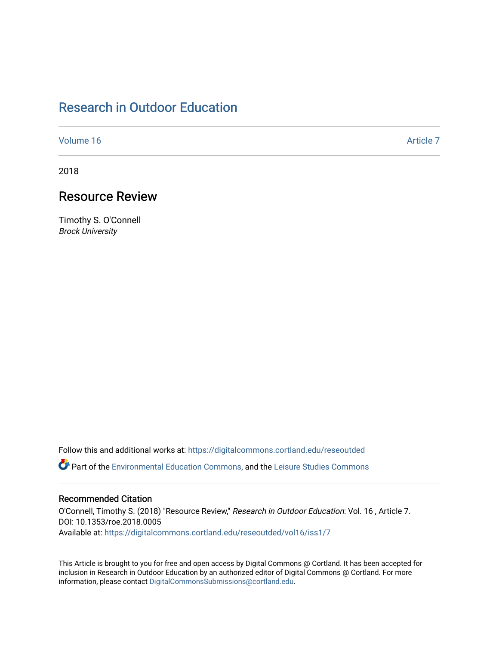# [Research in Outdoor Education](https://digitalcommons.cortland.edu/reseoutded)

[Volume 16](https://digitalcommons.cortland.edu/reseoutded/vol16) Article 7

2018

## Resource Review

Timothy S. O'Connell Brock University

Follow this and additional works at: [https://digitalcommons.cortland.edu/reseoutded](https://digitalcommons.cortland.edu/reseoutded?utm_source=digitalcommons.cortland.edu%2Freseoutded%2Fvol16%2Fiss1%2F7&utm_medium=PDF&utm_campaign=PDFCoverPages) Part of the [Environmental Education Commons](http://network.bepress.com/hgg/discipline/1305?utm_source=digitalcommons.cortland.edu%2Freseoutded%2Fvol16%2Fiss1%2F7&utm_medium=PDF&utm_campaign=PDFCoverPages), and the [Leisure Studies Commons](http://network.bepress.com/hgg/discipline/1197?utm_source=digitalcommons.cortland.edu%2Freseoutded%2Fvol16%2Fiss1%2F7&utm_medium=PDF&utm_campaign=PDFCoverPages) 

#### Recommended Citation

O'Connell, Timothy S. (2018) "Resource Review," Research in Outdoor Education: Vol. 16 , Article 7. DOI: 10.1353/roe.2018.0005 Available at: [https://digitalcommons.cortland.edu/reseoutded/vol16/iss1/7](https://digitalcommons.cortland.edu/reseoutded/vol16/iss1/7?utm_source=digitalcommons.cortland.edu%2Freseoutded%2Fvol16%2Fiss1%2F7&utm_medium=PDF&utm_campaign=PDFCoverPages) 

This Article is brought to you for free and open access by Digital Commons @ Cortland. It has been accepted for inclusion in Research in Outdoor Education by an authorized editor of Digital Commons @ Cortland. For more information, please contact [DigitalCommonsSubmissions@cortland.edu](mailto:DigitalCommonsSubmissions@cortland.edu).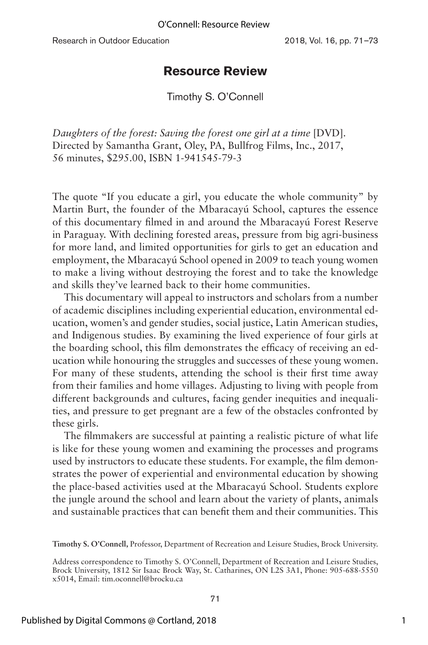Research in Outdoor Education 2018, Vol. 16, pp. 71–73

### **Resource Review**

Timothy S. O'Connell

*Daughters of the forest: Saving the forest one girl at a time* [DVD]. Directed by Samantha Grant, Oley, PA, Bullfrog Films, Inc., 2017, 56 minutes, \$295.00, ISBN 1-941545-79-3

The quote "If you educate a girl, you educate the whole community" by Martin Burt, the founder of the Mbaracayú School, captures the essence of this documentary filmed in and around the Mbaracayú Forest Reserve in Paraguay. With declining forested areas, pressure from big agri-business for more land, and limited opportunities for girls to get an education and employment, the Mbaracayú School opened in 2009 to teach young women to make a living without destroying the forest and to take the knowledge and skills they've learned back to their home communities.

This documentary will appeal to instructors and scholars from a number of academic disciplines including experiential education, environmental education, women's and gender studies, social justice, Latin American studies, and Indigenous studies. By examining the lived experience of four girls at the boarding school, this film demonstrates the efficacy of receiving an education while honouring the struggles and successes of these young women. For many of these students, attending the school is their first time away from their families and home villages. Adjusting to living with people from different backgrounds and cultures, facing gender inequities and inequalities, and pressure to get pregnant are a few of the obstacles confronted by these girls.

The filmmakers are successful at painting a realistic picture of what life is like for these young women and examining the processes and programs used by instructors to educate these students. For example, the film demonstrates the power of experiential and environmental education by showing the place-based activities used at the Mbaracayú School. Students explore the jungle around the school and learn about the variety of plants, animals and sustainable practices that can benefit them and their communities. This

**Timothy S. O'Connell,** Professor, Department of Recreation and Leisure Studies, Brock University.

Address correspondence to Timothy S. O'Connell, Department of Recreation and Leisure Studies, Brock University, 1812 Sir Isaac Brock Way, St. Catharines, ON L2S 3A1, Phone: 905-688-5550 x5014, Email: tim.oconnell@brocku.ca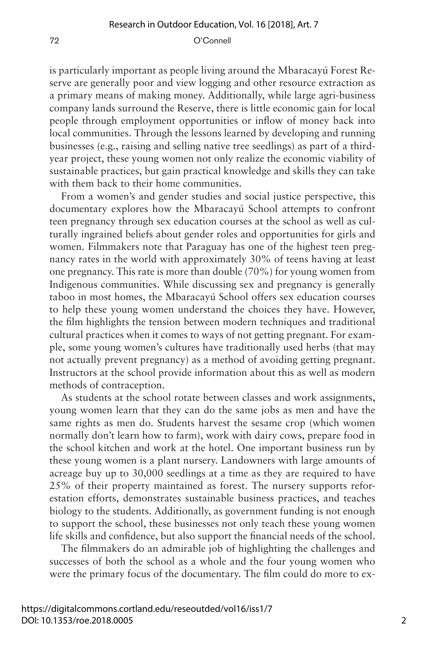#### 72 O'Connell

is particularly important as people living around the Mbaracayú Forest Reserve are generally poor and view logging and other resource extraction as a primary means of making money. Additionally, while large agri-business company lands surround the Reserve, there is little economic gain for local people through employment opportunities or inflow of money back into local communities. Through the lessons learned by developing and running businesses (e.g., raising and selling native tree seedlings) as part of a thirdyear project, these young women not only realize the economic viability of sustainable practices, but gain practical knowledge and skills they can take with them back to their home communities.

From a women's and gender studies and social justice perspective, this documentary explores how the Mbaracayú School attempts to confront teen pregnancy through sex education courses at the school as well as culturally ingrained beliefs about gender roles and opportunities for girls and women. Filmmakers note that Paraguay has one of the highest teen pregnancy rates in the world with approximately 30% of teens having at least one pregnancy. This rate is more than double (70%) for young women from Indigenous communities. While discussing sex and pregnancy is generally taboo in most homes, the Mbaracayú School offers sex education courses to help these young women understand the choices they have. However, the film highlights the tension between modern techniques and traditional cultural practices when it comes to ways of not getting pregnant. For example, some young women's cultures have traditionally used herbs (that may not actually prevent pregnancy) as a method of avoiding getting pregnant. Instructors at the school provide information about this as well as modern methods of contraception.

As students at the school rotate between classes and work assignments, young women learn that they can do the same jobs as men and have the same rights as men do. Students harvest the sesame crop (which women normally don't learn how to farm), work with dairy cows, prepare food in the school kitchen and work at the hotel. One important business run by these young women is a plant nursery. Landowners with large amounts of acreage buy up to 30,000 seedlings at a time as they are required to have 25% of their property maintained as forest. The nursery supports reforestation efforts, demonstrates sustainable business practices, and teaches biology to the students. Additionally, as government funding is not enough to support the school, these businesses not only teach these young women life skills and confidence, but also support the financial needs of the school.

The filmmakers do an admirable job of highlighting the challenges and successes of both the school as a whole and the four young women who were the primary focus of the documentary. The film could do more to ex